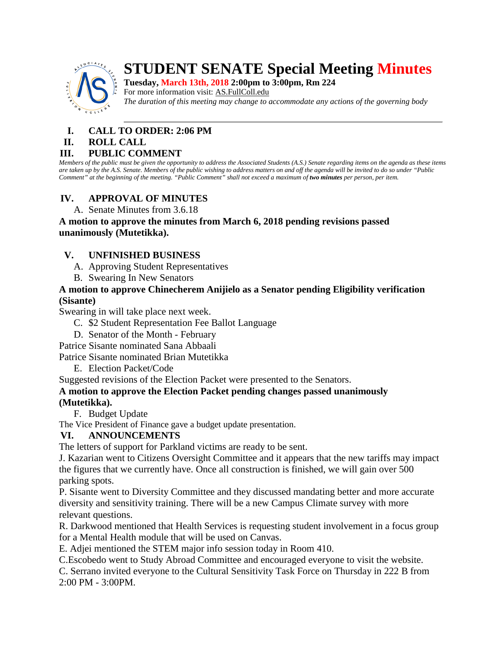

# **STUDENT SENATE Special Meeting Minutes**

**Tuesday, March 13th, 2018 2:00pm to 3:00pm, Rm 224** For more information visit: AS.FullColl.edu

*The duration of this meeting may change to accommodate any actions of the governing body*

#### **I. CALL TO ORDER: 2:06 PM**

#### **II. ROLL CALL**

#### **III. PUBLIC COMMENT**

*Members of the public must be given the opportunity to address the Associated Students (A.S.) Senate regarding items on the agenda as these items are taken up by the A.S. Senate. Members of the public wishing to address matters on and off the agenda will be invited to do so under "Public Comment" at the beginning of the meeting. "Public Comment" shall not exceed a maximum of two minutes per person, per item.*

#### **IV. APPROVAL OF MINUTES**

A. Senate Minutes from 3.6.18

#### **A motion to approve the minutes from March 6, 2018 pending revisions passed unanimously (Mutetikka).**

#### **V. UNFINISHED BUSINESS**

- A. Approving Student Representatives
- B. Swearing In New Senators

#### **A motion to approve Chinecherem Anijielo as a Senator pending Eligibility verification (Sisante)**

Swearing in will take place next week.

- C. \$2 Student Representation Fee Ballot Language
- D. Senator of the Month February

Patrice Sisante nominated Sana Abbaali

Patrice Sisante nominated Brian Mutetikka

E. Election Packet/Code

Suggested revisions of the Election Packet were presented to the Senators.

## **A motion to approve the Election Packet pending changes passed unanimously**

#### **(Mutetikka).**

F. Budget Update

The Vice President of Finance gave a budget update presentation.

#### **VI. ANNOUNCEMENTS**

The letters of support for Parkland victims are ready to be sent.

J. Kazarian went to Citizens Oversight Committee and it appears that the new tariffs may impact the figures that we currently have. Once all construction is finished, we will gain over 500 parking spots.

P. Sisante went to Diversity Committee and they discussed mandating better and more accurate diversity and sensitivity training. There will be a new Campus Climate survey with more relevant questions.

R. Darkwood mentioned that Health Services is requesting student involvement in a focus group for a Mental Health module that will be used on Canvas.

E. Adjei mentioned the STEM major info session today in Room 410.

C.Escobedo went to Study Abroad Committee and encouraged everyone to visit the website.

C. Serrano invited everyone to the Cultural Sensitivity Task Force on Thursday in 222 B from 2:00 PM - 3:00PM.